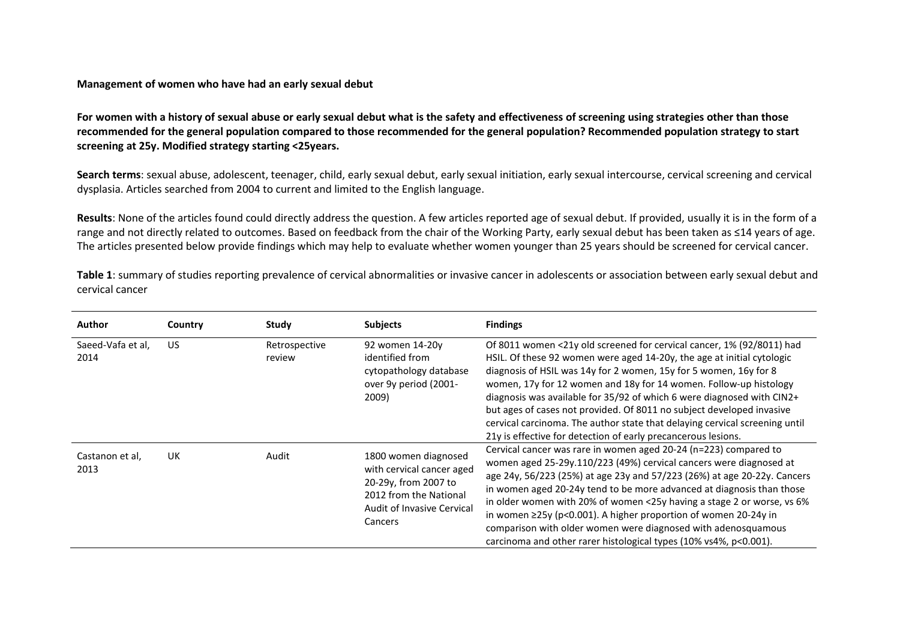## **Management of women who have had an early sexual debut**

**For women with a history of sexual abuse or early sexual debut what is the safety and effectiveness of screening using strategies other than those recommended for the general population compared to those recommended for the general population? Recommended population strategy to start screening at 25y. Modified strategy starting <25years.** 

**Search terms**: sexual abuse, adolescent, teenager, child, early sexual debut, early sexual initiation, early sexual intercourse, cervical screening and cervical dysplasia. Articles searched from 2004 to current and limited to the English language.

**Results**: None of the articles found could directly address the question. A few articles reported age of sexual debut. If provided, usually it is in the form of a range and not directly related to outcomes. Based on feedback from the chair of the Working Party, early sexual debut has been taken as ≤14 years of age. The articles presented below provide findings which may help to evaluate whether women younger than 25 years should be screened for cervical cancer.

Table 1: summary of studies reporting prevalence of cervical abnormalities or invasive cancer in adolescents or association between early sexual debut and cervical cancer

| <b>Author</b>             | Country | Study                   | <b>Subjects</b>                                                                                                                              | <b>Findings</b>                                                                                                                                                                                                                                                                                                                                                                                                                                                                                                                                                                              |
|---------------------------|---------|-------------------------|----------------------------------------------------------------------------------------------------------------------------------------------|----------------------------------------------------------------------------------------------------------------------------------------------------------------------------------------------------------------------------------------------------------------------------------------------------------------------------------------------------------------------------------------------------------------------------------------------------------------------------------------------------------------------------------------------------------------------------------------------|
| Saeed-Vafa et al,<br>2014 | US.     | Retrospective<br>review | 92 women 14-20y<br>identified from<br>cytopathology database<br>over 9y period (2001-<br>2009)                                               | Of 8011 women <21y old screened for cervical cancer, 1% (92/8011) had<br>HSIL. Of these 92 women were aged 14-20y, the age at initial cytologic<br>diagnosis of HSIL was 14y for 2 women, 15y for 5 women, 16y for 8<br>women, 17y for 12 women and 18y for 14 women. Follow-up histology<br>diagnosis was available for 35/92 of which 6 were diagnosed with CIN2+<br>but ages of cases not provided. Of 8011 no subject developed invasive<br>cervical carcinoma. The author state that delaying cervical screening until<br>21y is effective for detection of early precancerous lesions. |
| Castanon et al,<br>2013   | UK      | Audit                   | 1800 women diagnosed<br>with cervical cancer aged<br>20-29y, from 2007 to<br>2012 from the National<br>Audit of Invasive Cervical<br>Cancers | Cervical cancer was rare in women aged 20-24 (n=223) compared to<br>women aged 25-29y.110/223 (49%) cervical cancers were diagnosed at<br>age 24y, 56/223 (25%) at age 23y and 57/223 (26%) at age 20-22y. Cancers<br>in women aged 20-24y tend to be more advanced at diagnosis than those<br>in older women with 20% of women <25y having a stage 2 or worse, vs 6%<br>in women $\geq$ 25y (p<0.001). A higher proportion of women 20-24y in<br>comparison with older women were diagnosed with adenosquamous<br>carcinoma and other rarer histological types (10% vs4%, p<0.001).         |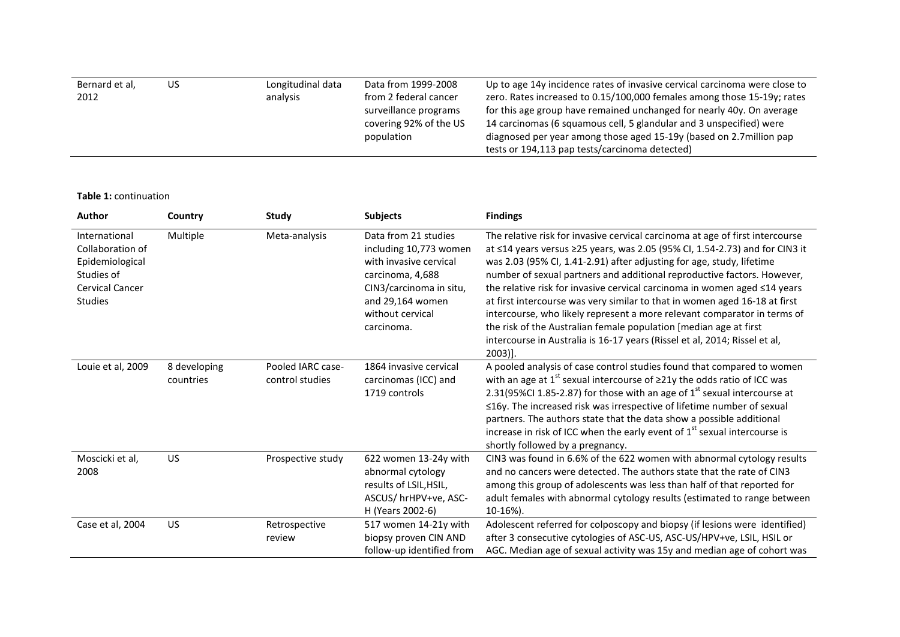| Bernard et al,<br>2012 | US | Longitudinal data<br>analysis | Data from 1999-2008<br>from 2 federal cancer<br>surveillance programs<br>covering 92% of the US<br>population | Up to age 14y incidence rates of invasive cervical carcinoma were close to<br>zero. Rates increased to 0.15/100,000 females among those 15-19y; rates<br>for this age group have remained unchanged for nearly 40y. On average<br>14 carcinomas (6 squamous cell, 5 glandular and 3 unspecified) were<br>diagnosed per year among those aged 15-19y (based on 2.7 million pap<br>tests or 194,113 pap tests/carcinoma detected) |
|------------------------|----|-------------------------------|---------------------------------------------------------------------------------------------------------------|---------------------------------------------------------------------------------------------------------------------------------------------------------------------------------------------------------------------------------------------------------------------------------------------------------------------------------------------------------------------------------------------------------------------------------|
|------------------------|----|-------------------------------|---------------------------------------------------------------------------------------------------------------|---------------------------------------------------------------------------------------------------------------------------------------------------------------------------------------------------------------------------------------------------------------------------------------------------------------------------------------------------------------------------------------------------------------------------------|

**Table 1:** continuation

| Author                                                                                                         | Country                   | Study                                | <b>Subjects</b>                                                                                                                                                               | <b>Findings</b>                                                                                                                                                                                                                                                                                                                                                                                                                                                                                                                                                                                                                                                                                                         |
|----------------------------------------------------------------------------------------------------------------|---------------------------|--------------------------------------|-------------------------------------------------------------------------------------------------------------------------------------------------------------------------------|-------------------------------------------------------------------------------------------------------------------------------------------------------------------------------------------------------------------------------------------------------------------------------------------------------------------------------------------------------------------------------------------------------------------------------------------------------------------------------------------------------------------------------------------------------------------------------------------------------------------------------------------------------------------------------------------------------------------------|
| International<br>Collaboration of<br>Epidemiological<br>Studies of<br><b>Cervical Cancer</b><br><b>Studies</b> | Multiple                  | Meta-analysis                        | Data from 21 studies<br>including 10,773 women<br>with invasive cervical<br>carcinoma, 4,688<br>CIN3/carcinoma in situ,<br>and 29,164 women<br>without cervical<br>carcinoma. | The relative risk for invasive cervical carcinoma at age of first intercourse<br>at ≤14 years versus ≥25 years, was 2.05 (95% CI, 1.54-2.73) and for CIN3 it<br>was 2.03 (95% CI, 1.41-2.91) after adjusting for age, study, lifetime<br>number of sexual partners and additional reproductive factors. However,<br>the relative risk for invasive cervical carcinoma in women aged ≤14 years<br>at first intercourse was very similar to that in women aged 16-18 at first<br>intercourse, who likely represent a more relevant comparator in terms of<br>the risk of the Australian female population [median age at first<br>intercourse in Australia is 16-17 years (Rissel et al, 2014; Rissel et al,<br>$2003$ ]. |
| Louie et al, 2009                                                                                              | 8 developing<br>countries | Pooled IARC case-<br>control studies | 1864 invasive cervical<br>carcinomas (ICC) and<br>1719 controls                                                                                                               | A pooled analysis of case control studies found that compared to women<br>with an age at $1^{st}$ sexual intercourse of $\geq$ 21y the odds ratio of ICC was<br>2.31(95%CI 1.85-2.87) for those with an age of $1st$ sexual intercourse at<br>≤16y. The increased risk was irrespective of lifetime number of sexual<br>partners. The authors state that the data show a possible additional<br>increase in risk of ICC when the early event of $1st$ sexual intercourse is<br>shortly followed by a pregnancy.                                                                                                                                                                                                         |
| Moscicki et al,<br>2008                                                                                        | <b>US</b>                 | Prospective study                    | 622 women 13-24y with<br>abnormal cytology<br>results of LSIL, HSIL,<br>ASCUS/hrHPV+ve, ASC-<br>H (Years 2002-6)                                                              | CIN3 was found in 6.6% of the 622 women with abnormal cytology results<br>and no cancers were detected. The authors state that the rate of CIN3<br>among this group of adolescents was less than half of that reported for<br>adult females with abnormal cytology results (estimated to range between<br>10-16%).                                                                                                                                                                                                                                                                                                                                                                                                      |
| Case et al, 2004                                                                                               | <b>US</b>                 | Retrospective<br>review              | 517 women 14-21y with<br>biopsy proven CIN AND<br>follow-up identified from                                                                                                   | Adolescent referred for colposcopy and biopsy (if lesions were identified)<br>after 3 consecutive cytologies of ASC-US, ASC-US/HPV+ve, LSIL, HSIL or<br>AGC. Median age of sexual activity was 15y and median age of cohort was                                                                                                                                                                                                                                                                                                                                                                                                                                                                                         |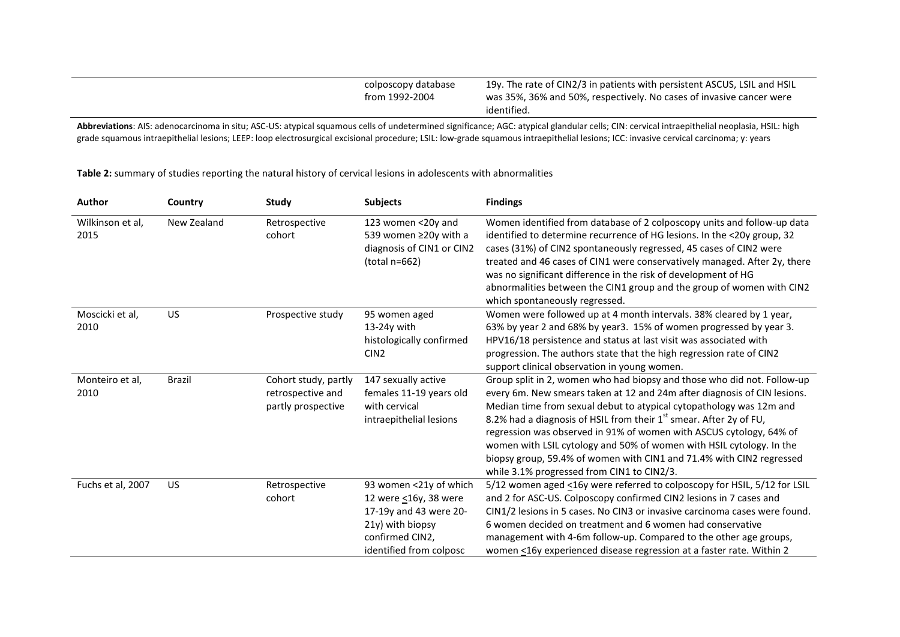| colposcopy database<br>from 1992-2004 | 19y. The rate of CIN2/3 in patients with persistent ASCUS, LSIL and HSIL<br>was 35%, 36% and 50%, respectively. No cases of invasive cancer were<br>identified. |
|---------------------------------------|-----------------------------------------------------------------------------------------------------------------------------------------------------------------|
|                                       |                                                                                                                                                                 |

Abbreviations: AIS: adenocarcinoma in situ; ASC-US: atypical squamous cells of undetermined significance; AGC: atypical glandular cells; CIN: cervical intraepithelial neoplasia, HSIL: high grade squamous intraepithelial lesions; LEEP: loop electrosurgical excisional procedure; LSIL: low-grade squamous intraepithelial lesions; ICC: invasive cervical carcinoma; y: years

**Table 2:** summary of studies reporting the natural history of cervical lesions in adolescents with abnormalities

| Author                   | Country       | Study                                                           | <b>Subjects</b>                                                                                                                             | <b>Findings</b>                                                                                                                                                                                                                                                                                                                                                                                                                                                                                                                                                                   |
|--------------------------|---------------|-----------------------------------------------------------------|---------------------------------------------------------------------------------------------------------------------------------------------|-----------------------------------------------------------------------------------------------------------------------------------------------------------------------------------------------------------------------------------------------------------------------------------------------------------------------------------------------------------------------------------------------------------------------------------------------------------------------------------------------------------------------------------------------------------------------------------|
| Wilkinson et al,<br>2015 | New Zealand   | Retrospective<br>cohort                                         | 123 women <20y and<br>539 women ≥20y with a<br>diagnosis of CIN1 or CIN2<br>$(total n=662)$                                                 | Women identified from database of 2 colposcopy units and follow-up data<br>identified to determine recurrence of HG lesions. In the <20y group, 32<br>cases (31%) of CIN2 spontaneously regressed, 45 cases of CIN2 were<br>treated and 46 cases of CIN1 were conservatively managed. After 2y, there<br>was no significant difference in the risk of development of HG<br>abnormalities between the CIN1 group and the group of women with CIN2<br>which spontaneously regressed.                                                                                                |
| Moscicki et al,<br>2010  | <b>US</b>     | Prospective study                                               | 95 women aged<br>$13-24y$ with<br>histologically confirmed<br>CIN <sub>2</sub>                                                              | Women were followed up at 4 month intervals. 38% cleared by 1 year,<br>63% by year 2 and 68% by year3. 15% of women progressed by year 3.<br>HPV16/18 persistence and status at last visit was associated with<br>progression. The authors state that the high regression rate of CIN2<br>support clinical observation in young women.                                                                                                                                                                                                                                            |
| Monteiro et al,<br>2010  | <b>Brazil</b> | Cohort study, partly<br>retrospective and<br>partly prospective | 147 sexually active<br>females 11-19 years old<br>with cervical<br>intraepithelial lesions                                                  | Group split in 2, women who had biopsy and those who did not. Follow-up<br>every 6m. New smears taken at 12 and 24m after diagnosis of CIN lesions.<br>Median time from sexual debut to atypical cytopathology was 12m and<br>8.2% had a diagnosis of HSIL from their 1 <sup>st</sup> smear. After 2y of FU,<br>regression was observed in 91% of women with ASCUS cytology, 64% of<br>women with LSIL cytology and 50% of women with HSIL cytology. In the<br>biopsy group, 59.4% of women with CIN1 and 71.4% with CIN2 regressed<br>while 3.1% progressed from CIN1 to CIN2/3. |
| Fuchs et al, 2007        | US            | Retrospective<br>cohort                                         | 93 women <21y of which<br>12 were <16y, 38 were<br>17-19y and 43 were 20-<br>21y) with biopsy<br>confirmed CIN2,<br>identified from colposc | 5/12 women aged <16y were referred to colposcopy for HSIL, 5/12 for LSIL<br>and 2 for ASC-US. Colposcopy confirmed CIN2 lesions in 7 cases and<br>CIN1/2 lesions in 5 cases. No CIN3 or invasive carcinoma cases were found.<br>6 women decided on treatment and 6 women had conservative<br>management with 4-6m follow-up. Compared to the other age groups,<br>women <16y experienced disease regression at a faster rate. Within 2                                                                                                                                            |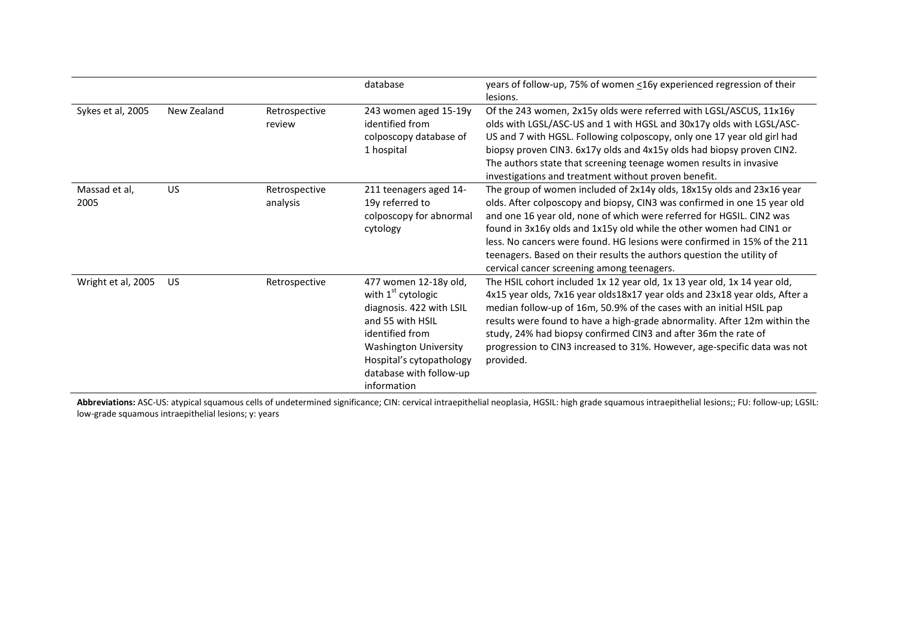|                       |             |                           | database                                                                                                                                                                                                               | years of follow-up, 75% of women <16y experienced regression of their<br>lesions.                                                                                                                                                                                                                                                                                                                                                                                                                   |
|-----------------------|-------------|---------------------------|------------------------------------------------------------------------------------------------------------------------------------------------------------------------------------------------------------------------|-----------------------------------------------------------------------------------------------------------------------------------------------------------------------------------------------------------------------------------------------------------------------------------------------------------------------------------------------------------------------------------------------------------------------------------------------------------------------------------------------------|
| Sykes et al, 2005     | New Zealand | Retrospective<br>review   | 243 women aged 15-19y<br>identified from<br>colposcopy database of<br>1 hospital                                                                                                                                       | Of the 243 women, 2x15y olds were referred with LGSL/ASCUS, 11x16y<br>olds with LGSL/ASC-US and 1 with HGSL and 30x17y olds with LGSL/ASC-<br>US and 7 with HGSL. Following colposcopy, only one 17 year old girl had<br>biopsy proven CIN3. 6x17y olds and 4x15y olds had biopsy proven CIN2.<br>The authors state that screening teenage women results in invasive<br>investigations and treatment without proven benefit.                                                                        |
| Massad et al,<br>2005 | US          | Retrospective<br>analysis | 211 teenagers aged 14-<br>19y referred to<br>colposcopy for abnormal<br>cytology                                                                                                                                       | The group of women included of 2x14y olds, 18x15y olds and 23x16 year<br>olds. After colposcopy and biopsy, CIN3 was confirmed in one 15 year old<br>and one 16 year old, none of which were referred for HGSIL. CIN2 was<br>found in 3x16y olds and 1x15y old while the other women had CIN1 or<br>less. No cancers were found. HG lesions were confirmed in 15% of the 211<br>teenagers. Based on their results the authors question the utility of<br>cervical cancer screening among teenagers. |
| Wright et al, 2005    | US          | Retrospective             | 477 women 12-18y old,<br>with $1st$ cytologic<br>diagnosis. 422 with LSIL<br>and 55 with HSIL<br>identified from<br><b>Washington University</b><br>Hospital's cytopathology<br>database with follow-up<br>information | The HSIL cohort included 1x 12 year old, 1x 13 year old, 1x 14 year old,<br>4x15 year olds, 7x16 year olds18x17 year olds and 23x18 year olds, After a<br>median follow-up of 16m, 50.9% of the cases with an initial HSIL pap<br>results were found to have a high-grade abnormality. After 12m within the<br>study, 24% had biopsy confirmed CIN3 and after 36m the rate of<br>progression to CIN3 increased to 31%. However, age-specific data was not<br>provided.                              |

Abbreviations: ASC-US: atypical squamous cells of undetermined significance; CIN: cervical intraepithelial neoplasia, HGSIL: high grade squamous intraepithelial lesions;; FU: follow-up; LGSIL: low-grade squamous intraepithelial lesions; y: years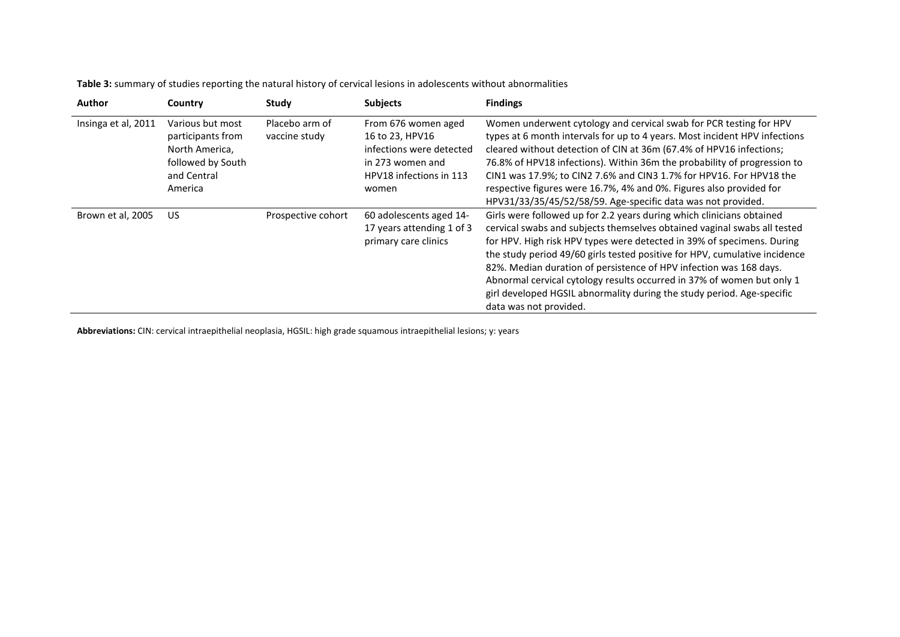| <b>Author</b>       | Country                                                                                                | Study                           | <b>Subjects</b>                                                                                                            | <b>Findings</b>                                                                                                                                                                                                                                                                                                                                                                                                                                                                                                                                               |
|---------------------|--------------------------------------------------------------------------------------------------------|---------------------------------|----------------------------------------------------------------------------------------------------------------------------|---------------------------------------------------------------------------------------------------------------------------------------------------------------------------------------------------------------------------------------------------------------------------------------------------------------------------------------------------------------------------------------------------------------------------------------------------------------------------------------------------------------------------------------------------------------|
| Insinga et al, 2011 | Various but most<br>participants from<br>North America,<br>followed by South<br>and Central<br>America | Placebo arm of<br>vaccine study | From 676 women aged<br>16 to 23, HPV16<br>infections were detected<br>in 273 women and<br>HPV18 infections in 113<br>women | Women underwent cytology and cervical swab for PCR testing for HPV<br>types at 6 month intervals for up to 4 years. Most incident HPV infections<br>cleared without detection of CIN at 36m (67.4% of HPV16 infections;<br>76.8% of HPV18 infections). Within 36m the probability of progression to<br>CIN1 was 17.9%; to CIN2 7.6% and CIN3 1.7% for HPV16. For HPV18 the<br>respective figures were 16.7%, 4% and 0%. Figures also provided for<br>HPV31/33/35/45/52/58/59. Age-specific data was not provided.                                             |
| Brown et al, 2005   | US.                                                                                                    | Prospective cohort              | 60 adolescents aged 14-<br>17 years attending 1 of 3<br>primary care clinics                                               | Girls were followed up for 2.2 years during which clinicians obtained<br>cervical swabs and subjects themselves obtained vaginal swabs all tested<br>for HPV. High risk HPV types were detected in 39% of specimens. During<br>the study period 49/60 girls tested positive for HPV, cumulative incidence<br>82%. Median duration of persistence of HPV infection was 168 days.<br>Abnormal cervical cytology results occurred in 37% of women but only 1<br>girl developed HGSIL abnormality during the study period. Age-specific<br>data was not provided. |

**Table 3:** summary of studies reporting the natural history of cervical lesions in adolescents without abnormalities

**Abbreviations:** CIN: cervical intraepithelial neoplasia, HGSIL: high grade squamous intraepithelial lesions; y: years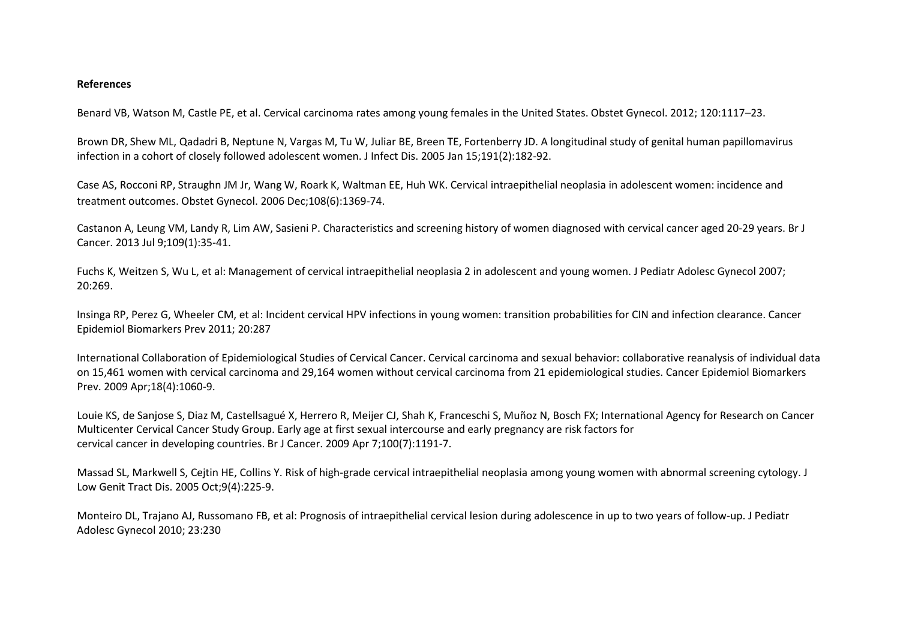## **References**

Benard VB, Watson M, Castle PE, et al. Cervical carcinoma rates among young females in the United States. Obstet Gynecol. 2012; 120:1117–23.

Brown DR, Shew ML, Qadadri B, Neptune N, Vargas M, Tu W, Juliar BE, Breen TE, Fortenberry JD. A longitudinal study of genital human papillomavirus infection in a cohort of closely followed adolescent women. J Infect Dis. 2005 Jan 15;191(2):182-92.

Case AS, Rocconi RP, Straughn JM Jr, Wang W, Roark K, Waltman EE, Huh WK. Cervical intraepithelial neoplasia in adolescent women: incidence and treatment outcomes. Obstet Gynecol. 2006 Dec;108(6):1369-74.

Castanon A, Leung VM, Landy R, Lim AW, Sasieni P. Characteristics and screening history of women diagnosed with cervical cancer aged 20-29 years. Br J Cancer. 2013 Jul 9;109(1):35-41.

Fuchs K, Weitzen S, Wu L, et al: Management of cervical intraepithelial neoplasia 2 in adolescent and young women. J Pediatr Adolesc Gynecol 2007; 20:269.

Insinga RP, Perez G, Wheeler CM, et al: Incident cervical HPV infections in young women: transition probabilities for CIN and infection clearance. Cancer Epidemiol Biomarkers Prev 2011; 20:287

International Collaboration of Epidemiological Studies of Cervical Cancer. Cervical carcinoma and sexual behavior: collaborative reanalysis of individual data on 15,461 women with cervical carcinoma and 29,164 women without cervical carcinoma from 21 epidemiological studies. Cancer Epidemiol Biomarkers Prev. 2009 Apr;18(4):1060-9.

Louie KS, de Sanjose S, Diaz M, Castellsagué X, Herrero R, Meijer CJ, Shah K, Franceschi S, Muñoz N, Bosch FX; International Agency for Research on Cancer Multicenter Cervical Cancer Study Group. Early age at first sexual intercourse and early pregnancy are risk factors for cervical cancer in developing countries. Br J Cancer. 2009 Apr 7;100(7):1191-7.

Massad SL, Markwell S, Cejtin HE, Collins Y. Risk of high-grade cervical intraepithelial neoplasia among young women with abnormal screening cytology. J Low Genit Tract Dis. 2005 Oct;9(4):225-9.

Monteiro DL, Trajano AJ, Russomano FB, et al: Prognosis of intraepithelial cervical lesion during adolescence in up to two years of follow-up. J Pediatr Adolesc Gynecol 2010; 23:230